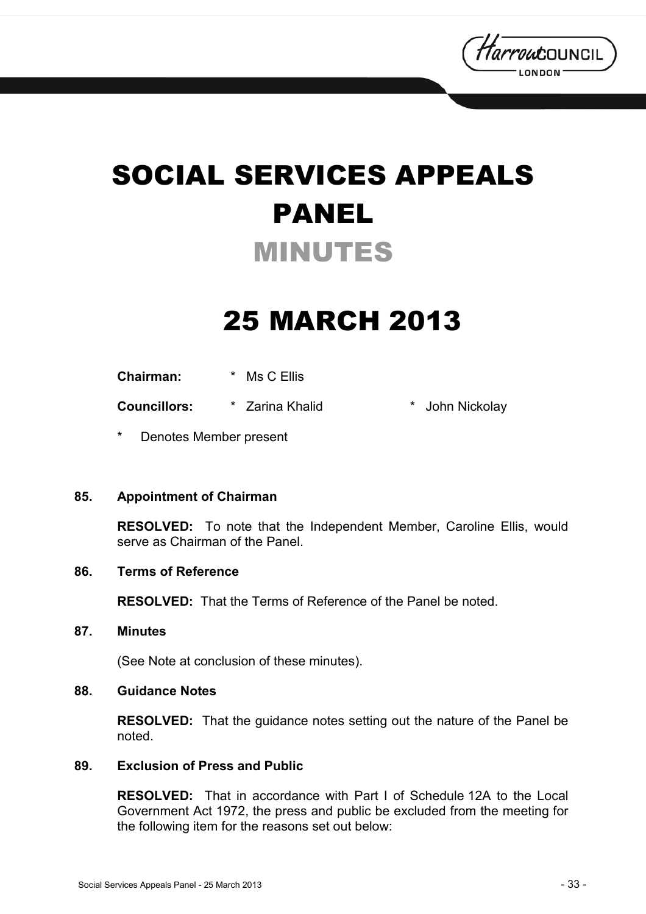

# SOCIAL SERVICES APPEALS PANEL MINUTES

## 25 MARCH 2013

**Chairman:** \* Ms C Ellis

**Councillors:** \* Zarina Khalid \* John Nickolay

Denotes Member present

#### **85. Appointment of Chairman**

**RESOLVED:** To note that the Independent Member, Caroline Ellis, would serve as Chairman of the Panel.

#### **86. Terms of Reference**

**RESOLVED:** That the Terms of Reference of the Panel be noted.

**87. Minutes** 

(See Note at conclusion of these minutes).

#### **88. Guidance Notes**

**RESOLVED:** That the guidance notes setting out the nature of the Panel be noted.

#### **89. Exclusion of Press and Public**

**RESOLVED:** That in accordance with Part I of Schedule 12A to the Local Government Act 1972, the press and public be excluded from the meeting for the following item for the reasons set out below: